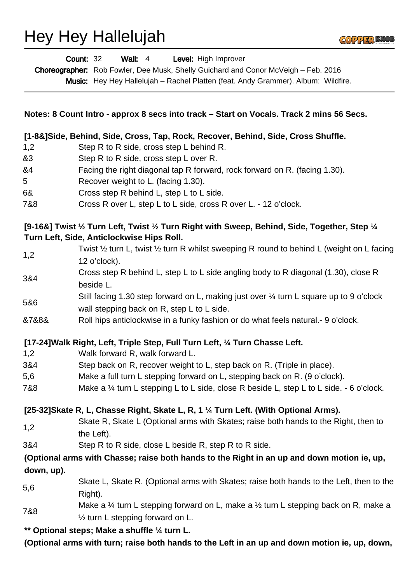## Hey Hey Hallelujah



|                                                                                                                                             | <b>Wall: 4</b><br>Level: High Improver<br><b>Count: 32</b><br>Choreographer: Rob Fowler, Dee Musk, Shelly Guichard and Conor McVeigh - Feb. 2016<br>Music: Hey Hey Hallelujah - Rachel Platten (feat. Andy Grammer). Album: Wildfire. |
|---------------------------------------------------------------------------------------------------------------------------------------------|---------------------------------------------------------------------------------------------------------------------------------------------------------------------------------------------------------------------------------------|
| Notes: 8 Count Intro - approx 8 secs into track – Start on Vocals. Track 2 mins 56 Secs.                                                    |                                                                                                                                                                                                                                       |
| [1-8&]Side, Behind, Side, Cross, Tap, Rock, Recover, Behind, Side, Cross Shuffle.                                                           |                                                                                                                                                                                                                                       |
| 1,2                                                                                                                                         | Step R to R side, cross step L behind R.                                                                                                                                                                                              |
| &3                                                                                                                                          | Step R to R side, cross step L over R.                                                                                                                                                                                                |
| &4                                                                                                                                          | Facing the right diagonal tap R forward, rock forward on R. (facing 1.30).                                                                                                                                                            |
| 5                                                                                                                                           | Recover weight to L. (facing 1.30).                                                                                                                                                                                                   |
| 6&                                                                                                                                          | Cross step R behind L, step L to L side.                                                                                                                                                                                              |
| 7&8                                                                                                                                         | Cross R over L, step L to L side, cross R over L. - 12 o'clock.                                                                                                                                                                       |
| [9-16&] Twist 1/2 Turn Left, Twist 1/2 Turn Right with Sweep, Behind, Side, Together, Step 1/4<br>Turn Left, Side, Anticlockwise Hips Roll. |                                                                                                                                                                                                                                       |
| 1,2                                                                                                                                         | Twist $\frac{1}{2}$ turn L, twist $\frac{1}{2}$ turn R whilst sweeping R round to behind L (weight on L facing<br>12 o'clock).                                                                                                        |
| 3&4                                                                                                                                         | Cross step R behind L, step L to L side angling body to R diagonal (1.30), close R<br>beside L.                                                                                                                                       |
| 5&6                                                                                                                                         | Still facing 1.30 step forward on L, making just over 1/4 turn L square up to 9 o'clock<br>wall stepping back on R, step L to L side.                                                                                                 |
| &7&8&                                                                                                                                       | Roll hips anticlockwise in a funky fashion or do what feels natural. - 9 o'clock.                                                                                                                                                     |
|                                                                                                                                             | [17-24] Walk Right, Left, Triple Step, Full Turn Left, 1/4 Turn Chasse Left.                                                                                                                                                          |
| 1,2                                                                                                                                         | Walk forward R, walk forward L.                                                                                                                                                                                                       |
| 3&4                                                                                                                                         | Step back on R, recover weight to L, step back on R. (Triple in place).                                                                                                                                                               |
| 5,6                                                                                                                                         | Make a full turn L stepping forward on L, stepping back on R. (9 o'clock).                                                                                                                                                            |
| 7&8                                                                                                                                         | Make a $\frac{1}{4}$ turn L stepping L to L side, close R beside L, step L to L side. - 6 o'clock.                                                                                                                                    |
| [25-32] Skate R, L, Chasse Right, Skate L, R, 1 1/4 Turn Left. (With Optional Arms).                                                        |                                                                                                                                                                                                                                       |
|                                                                                                                                             | Skate R, Skate L (Optional arms with Skates; raise both hands to the Right, then to                                                                                                                                                   |
| 1,2                                                                                                                                         | the Left).                                                                                                                                                                                                                            |
| 3&4                                                                                                                                         | Step R to R side, close L beside R, step R to R side.                                                                                                                                                                                 |
|                                                                                                                                             | (Optional arms with Chasse; raise both hands to the Right in an up and down motion ie, up,                                                                                                                                            |
| down, up).                                                                                                                                  |                                                                                                                                                                                                                                       |
| 5,6                                                                                                                                         | Skate L, Skate R. (Optional arms with Skates; raise both hands to the Left, then to the<br>Right).                                                                                                                                    |
| 7&8                                                                                                                                         | Make a $\frac{1}{4}$ turn L stepping forward on L, make a $\frac{1}{2}$ turn L stepping back on R, make a<br>$\frac{1}{2}$ turn L stepping forward on L.                                                                              |
|                                                                                                                                             | ** Optional steps; Make a shuffle 1/4 turn L.                                                                                                                                                                                         |
| (Optional arms with turn; raise both hands to the Left in an up and down motion ie, up, down,                                               |                                                                                                                                                                                                                                       |